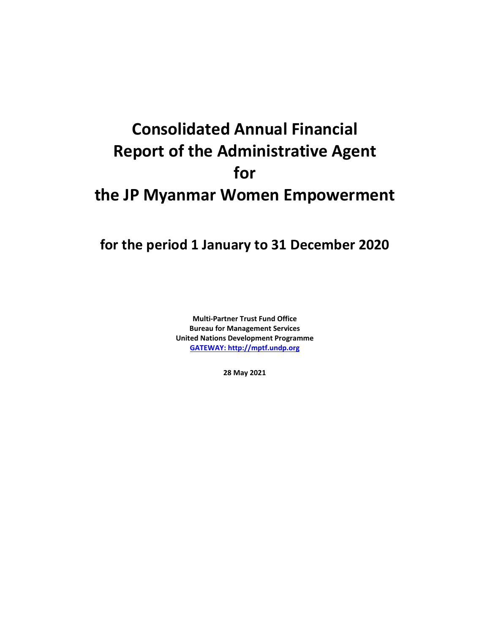# **Consolidated Annual Financial Report of the Administrative Agent for the JP Myanmar Women Empowerment**

## **for the period 1 January to 31 December 2020**

**Multi-Partner Trust Fund Office Bureau for Management Services United Nations Development Programme [GATEWAY: http://mptf.undp.org](http://mptf.undp.org/)**

**28 May 2021**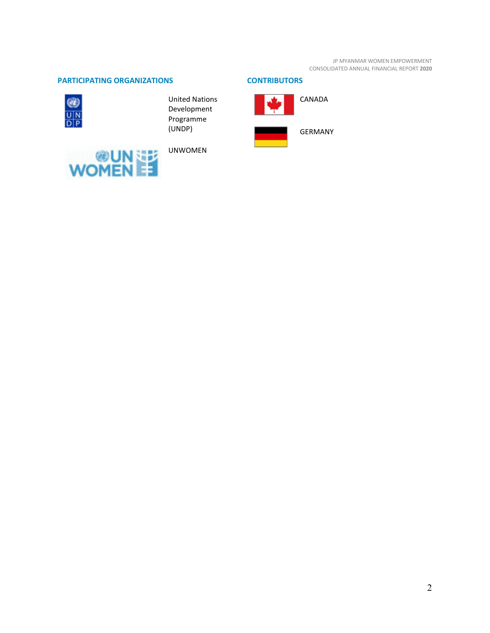JP MYANMAR WOMEN EMPOWERMENT CONSOLIDATED ANNUAL FINANCIAL REPORT **2020**

### **PARTICIPATING ORGANIZATIONS CONTRIBUTORS**



United Nations Development Programme (UNDP)



UNWOMEN

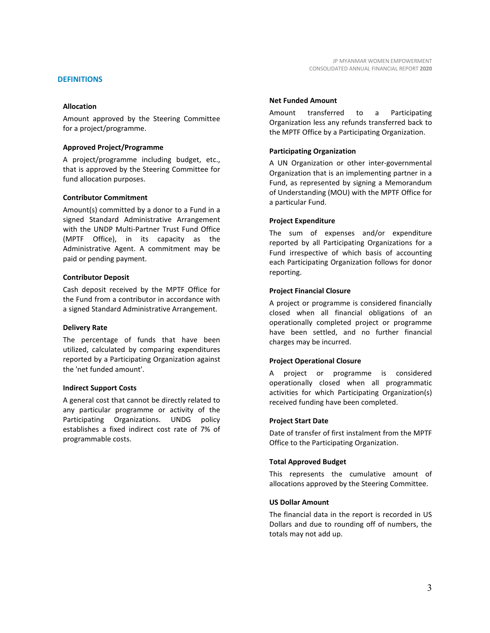#### **DEFINITIONS**

#### **Allocation**

Amount approved by the Steering Committee for a project/programme.

#### **Approved Project/Programme**

A project/programme including budget, etc., that is approved by the Steering Committee for fund allocation purposes.

#### **Contributor Commitment**

Amount(s) committed by a donor to a Fund in a signed Standard Administrative Arrangement with the UNDP Multi-Partner Trust Fund Office (MPTF Office), in its capacity as the Administrative Agent. A commitment may be paid or pending payment.

#### **Contributor Deposit**

Cash deposit received by the MPTF Office for the Fund from a contributor in accordance with a signed Standard Administrative Arrangement.

#### **Delivery Rate**

The percentage of funds that have been utilized, calculated by comparing expenditures reported by a Participating Organization against the 'net funded amount'.

#### **Indirect Support Costs**

A general cost that cannot be directly related to any particular programme or activity of the Participating Organizations. UNDG policy establishes a fixed indirect cost rate of 7% of programmable costs.

#### **Net Funded Amount**

Amount transferred to a Participating Organization less any refunds transferred back to the MPTF Office by a Participating Organization.

#### **Participating Organization**

A UN Organization or other inter-governmental Organization that is an implementing partner in a Fund, as represented by signing a Memorandum of Understanding (MOU) with the MPTF Office for a particular Fund.

#### **Project Expenditure**

The sum of expenses and/or expenditure reported by all Participating Organizations for a Fund irrespective of which basis of accounting each Participating Organization follows for donor reporting.

#### **Project Financial Closure**

A project or programme is considered financially closed when all financial obligations of an operationally completed project or programme have been settled, and no further financial charges may be incurred.

#### **Project Operational Closure**

A project or programme is considered operationally closed when all programmatic activities for which Participating Organization(s) received funding have been completed.

#### **Project Start Date**

Date of transfer of first instalment from the MPTF Office to the Participating Organization.

#### **Total Approved Budget**

This represents the cumulative amount of allocations approved by the Steering Committee.

#### **US Dollar Amount**

The financial data in the report is recorded in US Dollars and due to rounding off of numbers, the totals may not add up.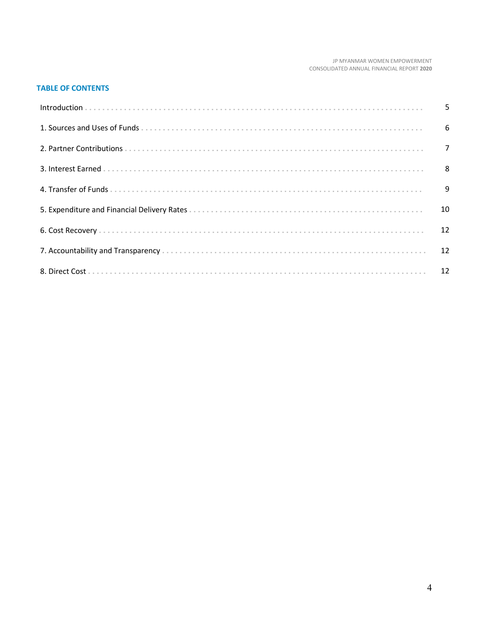#### JP MYANMAR WOMEN EMPOWERMENT CONSOLIDATED ANNUAL FINANCIAL REPORT 2020

#### **TABLE OF CONTENTS**

| 10 |
|----|
|    |
|    |
|    |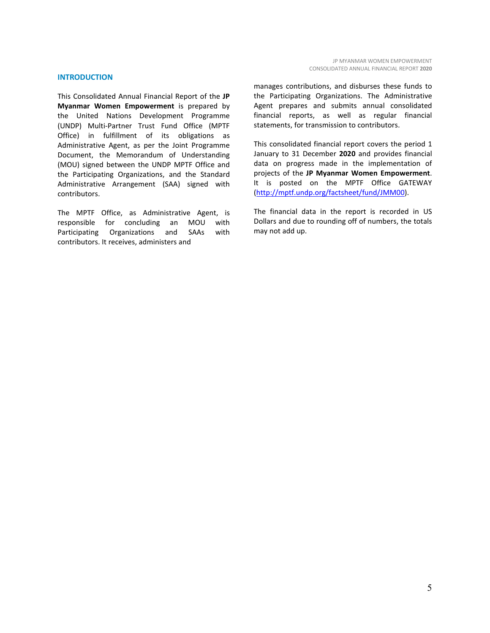#### **INTRODUCTION**

This Consolidated Annual Financial Report of the **JP Myanmar Women Empowerment** is prepared by the United Nations Development Programme (UNDP) Multi-Partner Trust Fund Office (MPTF Office) in fulfillment of its obligations as Administrative Agent, as per the Joint Programme Document, the Memorandum of Understanding (MOU) signed between the UNDP MPTF Office and the Participating Organizations, and the Standard Administrative Arrangement (SAA) signed with contributors.

The MPTF Office, as Administrative Agent, is responsible for concluding an MOU with Participating Organizations and SAAs with contributors. It receives, administers and

manages contributions, and disburses these funds to the Participating Organizations. The Administrative Agent prepares and submits annual consolidated financial reports, as well as regular financial statements, for transmission to contributors.

This consolidated financial report covers the period 1 January to 31 December **2020** and provides financial data on progress made in the implementation of projects of the **JP Myanmar Women Empowerment**. It is posted on the MPTF Office GATEWAY [\(http://mptf.undp.org/factsheet/fund/JMM00\)](http://mptf.undp.org/factsheet/fund/JMM00).

The financial data in the report is recorded in US Dollars and due to rounding off of numbers, the totals may not add up.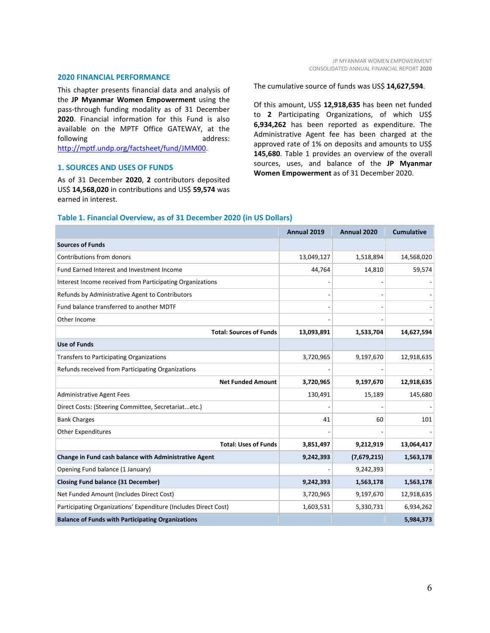#### **2020 FINANCIAL PERFORMANCE**

This chapter presents financial data and analysis of the **JP Myanmar Women Empowerment** using the pass-through funding modality as of 31 December **2020**. Financial information for this Fund is also available on the MPTF Office GATEWAY, at the following address: [http://mptf.undp.org/factsheet/fund/JMM00.](http://mptf.undp.org/factsheet/fund/JMM00) 

#### **1. SOURCES AND USES OF FUNDS**

As of 31 December **2020**, **2** contributors deposited US\$ **14,568,020** in contributions and US\$ **59,574** was earned in interest.

The cumulative source of funds was US\$ **14,627,594**.

Of this amount, US\$ **12,918,635** has been net funded to **2** Participating Organizations, of which US\$ **6,934,262** has been reported as expenditure. The Administrative Agent fee has been charged at the approved rate of 1% on deposits and amounts to US\$ **145,680**. Table 1 provides an overview of the overall sources, uses, and balance of the **JP Myanmar Women Empowerment** as of 31 December 2020.

|                                                                 | Annual 2019 | Annual 2020 | <b>Cumulative</b> |
|-----------------------------------------------------------------|-------------|-------------|-------------------|
| <b>Sources of Funds</b>                                         |             |             |                   |
| Contributions from donors                                       | 13,049,127  | 1,518,894   | 14,568,020        |
| Fund Earned Interest and Investment Income                      | 44,764      | 14,810      | 59,574            |
| Interest Income received from Participating Organizations       |             |             |                   |
| Refunds by Administrative Agent to Contributors                 |             |             |                   |
| Fund balance transferred to another MDTF                        |             |             |                   |
| Other Income                                                    |             |             |                   |
| <b>Total: Sources of Funds</b>                                  | 13,093,891  | 1,533,704   | 14,627,594        |
| <b>Use of Funds</b>                                             |             |             |                   |
| <b>Transfers to Participating Organizations</b>                 | 3,720,965   | 9,197,670   | 12,918,635        |
| Refunds received from Participating Organizations               |             |             |                   |
| <b>Net Funded Amount</b>                                        | 3,720,965   | 9,197,670   | 12,918,635        |
| <b>Administrative Agent Fees</b>                                | 130,491     | 15,189      | 145,680           |
| Direct Costs: (Steering Committee, Secretariatetc.)             |             |             |                   |
| <b>Bank Charges</b>                                             | 41          | 60          | 101               |
| <b>Other Expenditures</b>                                       |             |             |                   |
| <b>Total: Uses of Funds</b>                                     | 3,851,497   | 9,212,919   | 13,064,417        |
| Change in Fund cash balance with Administrative Agent           | 9,242,393   | (7,679,215) | 1,563,178         |
| Opening Fund balance (1 January)                                |             | 9,242,393   |                   |
| <b>Closing Fund balance (31 December)</b>                       | 9,242,393   | 1,563,178   | 1,563,178         |
| Net Funded Amount (Includes Direct Cost)                        | 3,720,965   | 9,197,670   | 12,918,635        |
| Participating Organizations' Expenditure (Includes Direct Cost) | 1,603,531   | 5,330,731   | 6,934,262         |
| <b>Balance of Funds with Participating Organizations</b>        |             |             | 5,984,373         |

#### **Table 1. Financial Overview, as of 31 December 2020 (in US Dollars)**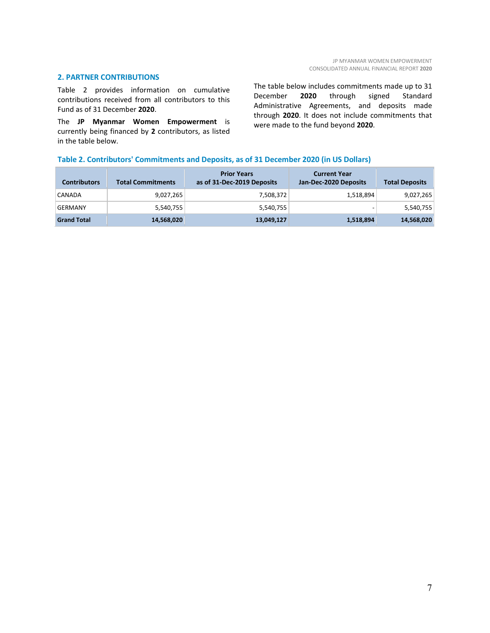#### **2. PARTNER CONTRIBUTIONS**

Table 2 provides information on cumulative contributions received from all contributors to this Fund as of 31 December **2020**.

The **JP Myanmar Women Empowerment** is currently being financed by **2** contributors, as listed in the table below.

The table below includes commitments made up to 31 December **2020** through signed Standard Administrative Agreements, and deposits made through **2020**. It does not include commitments that were made to the fund beyond **2020**.

#### **Table 2. Contributors' Commitments and Deposits, as of 31 December 2020 (in US Dollars)**

| <b>Contributors</b> | <b>Total Commitments</b> | <b>Prior Years</b><br>as of 31-Dec-2019 Deposits | <b>Current Year</b><br>Jan-Dec-2020 Deposits | <b>Total Deposits</b> |
|---------------------|--------------------------|--------------------------------------------------|----------------------------------------------|-----------------------|
| CANADA              | 9,027,265                | 7,508,372                                        | 1,518,894                                    | 9,027,265             |
| GERMANY             | 5,540,755                | 5,540,755                                        | -                                            | 5,540,755             |
| <b>Grand Total</b>  | 14,568,020               | 13,049,127                                       | 1,518,894                                    | 14,568,020            |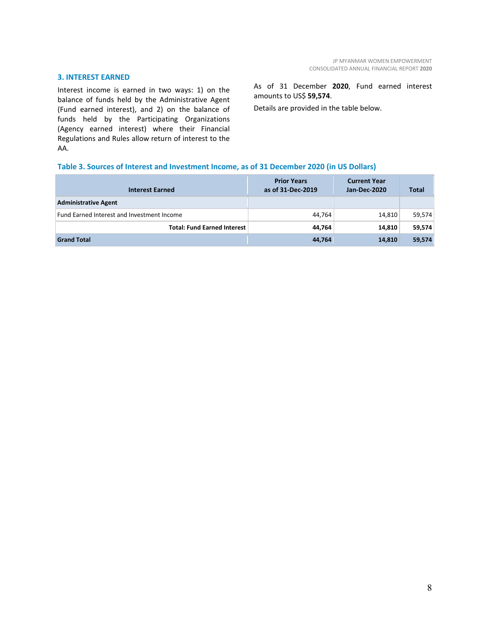#### **3. INTEREST EARNED**

Interest income is earned in two ways: 1) on the balance of funds held by the Administrative Agent (Fund earned interest), and 2) on the balance of funds held by the Participating Organizations (Agency earned interest) where their Financial Regulations and Rules allow return of interest to the AA.

As of 31 December **2020**, Fund earned interest amounts to US\$ **59,574**.

Details are provided in the table below.

#### **Table 3. Sources of Interest and Investment Income, as of 31 December 2020 (in US Dollars)**

| <b>Interest Earned</b>                     | <b>Prior Years</b><br>as of 31-Dec-2019 | <b>Current Year</b><br>Jan-Dec-2020 | <b>Total</b> |
|--------------------------------------------|-----------------------------------------|-------------------------------------|--------------|
| <b>Administrative Agent</b>                |                                         |                                     |              |
| Fund Earned Interest and Investment Income | 44,764                                  | 14,810                              | 59,574       |
| <b>Total: Fund Earned Interest</b>         | 44,764                                  | 14,810                              | 59,574       |
| <b>Grand Total</b>                         | 44,764                                  | 14,810                              | 59,574       |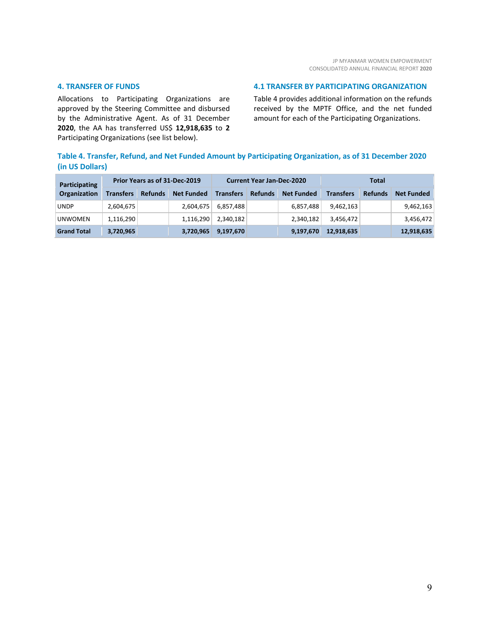#### **4. TRANSFER OF FUNDS**

Allocations to Participating Organizations are approved by the Steering Committee and disbursed by the Administrative Agent. As of 31 December **2020**, the AA has transferred US\$ **12,918,635** to **2** Participating Organizations (see list below).

#### **4.1 TRANSFER BY PARTICIPATING ORGANIZATION**

Table 4 provides additional information on the refunds received by the MPTF Office, and the net funded amount for each of the Participating Organizations.

#### **Table 4. Transfer, Refund, and Net Funded Amount by Participating Organization, as of 31 December 2020 (in US Dollars)**

| Participating      | Prior Years as of 31-Dec-2019 |                |                   | <b>Current Year Jan-Dec-2020</b> |                |                   | Total            |                |                   |
|--------------------|-------------------------------|----------------|-------------------|----------------------------------|----------------|-------------------|------------------|----------------|-------------------|
| Organization       | <b>Transfers</b>              | <b>Refunds</b> | <b>Net Funded</b> | <b>Transfers</b>                 | <b>Refunds</b> | <b>Net Funded</b> | <b>Transfers</b> | <b>Refunds</b> | <b>Net Funded</b> |
| <b>UNDP</b>        | 2,604,675                     |                | 2,604,675         | 6,857,488                        |                | 6,857,488         | 9,462,163        |                | 9,462,163         |
| <b>UNWOMEN</b>     | 1,116,290                     |                | 1,116,290         | 2,340,182                        |                | 2,340,182         | 3,456,472        |                | 3,456,472         |
| <b>Grand Total</b> | 3,720,965                     |                | 3,720,965         | 9,197,670                        |                | 9,197,670         | 12,918,635       |                | 12,918,635        |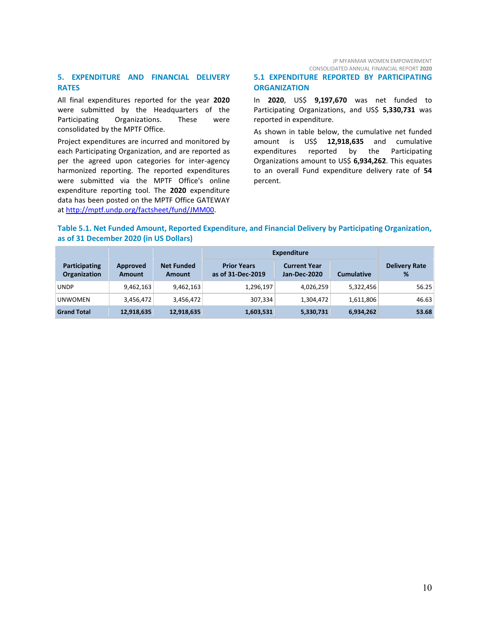JP MYANMAR WOMEN EMPOWERMENT CONSOLIDATED ANNUAL FINANCIAL REPORT **2020**

#### **5. EXPENDITURE AND FINANCIAL DELIVERY RATES**

All final expenditures reported for the year **2020** were submitted by the Headquarters of the Participating Organizations. These were consolidated by the MPTF Office.

Project expenditures are incurred and monitored by each Participating Organization, and are reported as per the agreed upon categories for inter-agency harmonized reporting. The reported expenditures were submitted via the MPTF Office's online expenditure reporting tool. The **2020** expenditure data has been posted on the MPTF Office GATEWAY a[t http://mptf.undp.org/factsheet/fund/JMM00.](http://mptf.undp.org/factsheet/fund/JMM00)

#### **5.1 EXPENDITURE REPORTED BY PARTICIPATING ORGANIZATION**

In **2020**, US\$ **9,197,670** was net funded to Participating Organizations, and US\$ **5,330,731** was reported in expenditure.

As shown in table below, the cumulative net funded amount is US\$ **12,918,635** and cumulative expenditures reported by the Participating Organizations amount to US\$ **6,934,262**. This equates to an overall Fund expenditure delivery rate of **54** percent.

#### **Table 5.1. Net Funded Amount, Reported Expenditure, and Financial Delivery by Participating Organization, as of 31 December 2020 (in US Dollars)**

|                                             |                           |                             | <b>Expenditure</b>                      |                                     |                   |                           |  |
|---------------------------------------------|---------------------------|-----------------------------|-----------------------------------------|-------------------------------------|-------------------|---------------------------|--|
| <b>Participating</b><br><b>Organization</b> | Approved<br><b>Amount</b> | <b>Net Funded</b><br>Amount | <b>Prior Years</b><br>as of 31-Dec-2019 | <b>Current Year</b><br>Jan-Dec-2020 | <b>Cumulative</b> | <b>Delivery Rate</b><br>% |  |
| <b>UNDP</b>                                 | 9,462,163                 | 9,462,163                   | 1,296,197                               | 4,026,259                           | 5,322,456         | 56.25                     |  |
| <b>UNWOMEN</b>                              | 3,456,472                 | 3,456,472                   | 307,334                                 | 1,304,472                           | 1,611,806         | 46.63                     |  |
| <b>Grand Total</b>                          | 12,918,635                | 12,918,635                  | 1,603,531                               | 5,330,731                           | 6,934,262         | 53.68                     |  |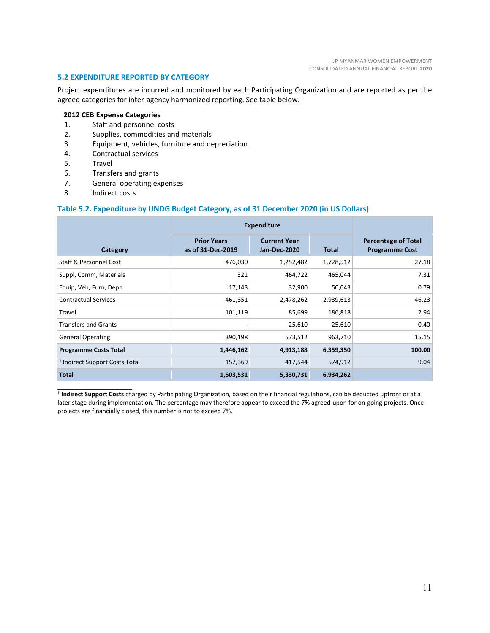#### **5.2 EXPENDITURE REPORTED BY CATEGORY**

Project expenditures are incurred and monitored by each Participating Organization and are reported as per the agreed categories for inter-agency harmonized reporting. See table below.

#### **2012 CEB Expense Categories**

- 1. Staff and personnel costs
- 2. Supplies, commodities and materials
- 3. Equipment, vehicles, furniture and depreciation
- 4. Contractual services<br>5. Travel
- **Travel**
- 6. Transfers and grants
- 7. General operating expenses
- 8. Indirect costs

#### **Table 5.2. Expenditure by UNDG Budget Category, as of 31 December 2020 (in US Dollars)**

|                                           | <b>Expenditure</b>                      |                                            |              |                                                     |
|-------------------------------------------|-----------------------------------------|--------------------------------------------|--------------|-----------------------------------------------------|
| Category                                  | <b>Prior Years</b><br>as of 31-Dec-2019 | <b>Current Year</b><br><b>Jan-Dec-2020</b> | <b>Total</b> | <b>Percentage of Total</b><br><b>Programme Cost</b> |
| <b>Staff &amp; Personnel Cost</b>         | 476,030                                 | 1,252,482                                  | 1,728,512    | 27.18                                               |
| Suppl, Comm, Materials                    | 321                                     | 464,722                                    | 465,044      | 7.31                                                |
| Equip, Veh, Furn, Depn                    | 17,143                                  | 32,900                                     | 50,043       | 0.79                                                |
| <b>Contractual Services</b>               | 461,351                                 | 2,478,262                                  | 2,939,613    | 46.23                                               |
| Travel                                    | 101,119                                 | 85,699                                     | 186,818      | 2.94                                                |
| <b>Transfers and Grants</b>               |                                         | 25,610                                     | 25,610       | 0.40                                                |
| <b>General Operating</b>                  | 390,198                                 | 573,512                                    | 963,710      | 15.15                                               |
| <b>Programme Costs Total</b>              | 1,446,162                               | 4,913,188                                  | 6,359,350    | 100.00                                              |
| <sup>1</sup> Indirect Support Costs Total | 157,369                                 | 417,544                                    | 574,912      | 9.04                                                |
| <b>Total</b>                              | 1,603,531                               | 5,330,731                                  | 6,934,262    |                                                     |

\_\_\_\_\_\_\_\_\_\_\_\_\_\_\_\_\_\_\_\_\_\_ **<sup>1</sup> Indirect Support Costs** charged by Participating Organization, based on their financial regulations, can be deducted upfront or at a later stage during implementation. The percentage may therefore appear to exceed the 7% agreed-upon for on-going projects. Once projects are financially closed, this number is not to exceed 7%.